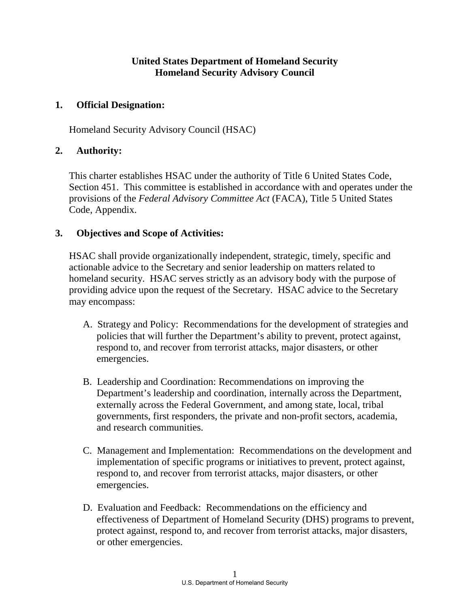# **United States Department of Homeland Security Homeland Security Advisory Council**

#### **1. Official Designation:**

Homeland Security Advisory Council (HSAC)

#### **2. Authority:**

This charter establishes HSAC under the authority of Title 6 United States Code, Section 451. This committee is established in accordance with and operates under the provisions of the *Federal Advisory Committee Act* (FACA), Title 5 United States Code, Appendix.

#### **3. Objectives and Scope of Activities:**

HSAC shall provide organizationally independent, strategic, timely, specific and actionable advice to the Secretary and senior leadership on matters related to homeland security. HSAC serves strictly as an advisory body with the purpose of providing advice upon the request of the Secretary. HSAC advice to the Secretary may encompass:

- A. Strategy and Policy: Recommendations for the development of strategies and policies that will further the Department's ability to prevent, protect against, respond to, and recover from terrorist attacks, major disasters, or other emergencies.
- B. Leadership and Coordination: Recommendations on improving the Department's leadership and coordination, internally across the Department, externally across the Federal Government, and among state, local, tribal governments, first responders, the private and non-profit sectors, academia, and research communities.
- C. Management and Implementation: Recommendations on the development and implementation of specific programs or initiatives to prevent, protect against, respond to, and recover from terrorist attacks, major disasters, or other emergencies.
- D. Evaluation and Feedback: Recommendations on the efficiency and effectiveness of Department of Homeland Security (DHS) programs to prevent, protect against, respond to, and recover from terrorist attacks, major disasters, or other emergencies.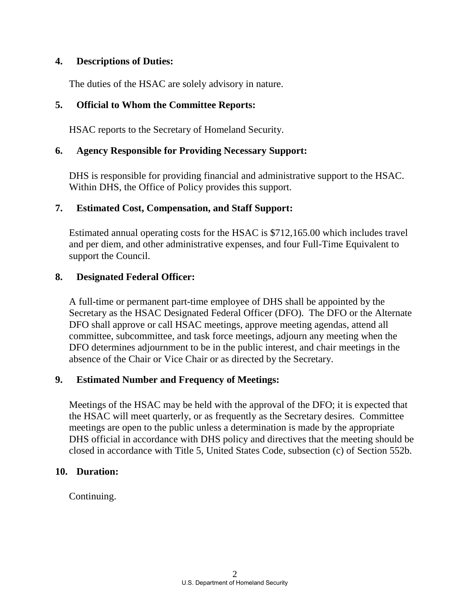## **4. Descriptions of Duties:**

The duties of the HSAC are solely advisory in nature.

# **5. Official to Whom the Committee Reports:**

HSAC reports to the Secretary of Homeland Security.

# **6. Agency Responsible for Providing Necessary Support:**

DHS is responsible for providing financial and administrative support to the HSAC. Within DHS, the Office of Policy provides this support.

## **7. Estimated Cost, Compensation, and Staff Support:**

Estimated annual operating costs for the HSAC is \$712,165.00 which includes travel and per diem, and other administrative expenses, and four Full-Time Equivalent to support the Council.

## **8. Designated Federal Officer:**

A full-time or permanent part-time employee of DHS shall be appointed by the Secretary as the HSAC Designated Federal Officer (DFO). The DFO or the Alternate DFO shall approve or call HSAC meetings, approve meeting agendas, attend all committee, subcommittee, and task force meetings, adjourn any meeting when the DFO determines adjournment to be in the public interest, and chair meetings in the absence of the Chair or Vice Chair or as directed by the Secretary.

## **9. Estimated Number and Frequency of Meetings:**

Meetings of the HSAC may be held with the approval of the DFO; it is expected that the HSAC will meet quarterly, or as frequently as the Secretary desires. Committee meetings are open to the public unless a determination is made by the appropriate DHS official in accordance with DHS policy and directives that the meeting should be closed in accordance with Title 5, United States Code, subsection (c) of Section 552b.

## **10. Duration:**

Continuing.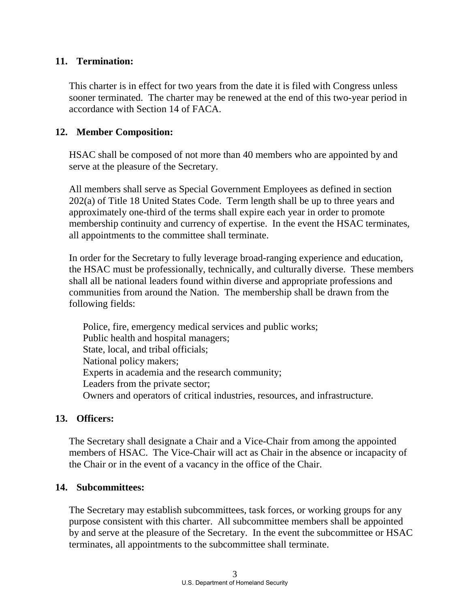## **11. Termination:**

This charter is in effect for two years from the date it is filed with Congress unless sooner terminated. The charter may be renewed at the end of this two-year period in accordance with Section 14 of FACA.

#### **12. Member Composition:**

HSAC shall be composed of not more than 40 members who are appointed by and serve at the pleasure of the Secretary.

All members shall serve as Special Government Employees as defined in section 202(a) of Title 18 United States Code. Term length shall be up to three years and approximately one-third of the terms shall expire each year in order to promote membership continuity and currency of expertise. In the event the HSAC terminates, all appointments to the committee shall terminate.

In order for the Secretary to fully leverage broad-ranging experience and education, the HSAC must be professionally, technically, and culturally diverse. These members shall all be national leaders found within diverse and appropriate professions and communities from around the Nation. The membership shall be drawn from the following fields:

Police, fire, emergency medical services and public works; Public health and hospital managers; State, local, and tribal officials; National policy makers; Experts in academia and the research community; Leaders from the private sector; Owners and operators of critical industries, resources, and infrastructure.

#### **13. Officers:**

The Secretary shall designate a Chair and a Vice-Chair from among the appointed members of HSAC. The Vice-Chair will act as Chair in the absence or incapacity of the Chair or in the event of a vacancy in the office of the Chair.

#### **14. Subcommittees:**

The Secretary may establish subcommittees, task forces, or working groups for any purpose consistent with this charter. All subcommittee members shall be appointed by and serve at the pleasure of the Secretary. In the event the subcommittee or HSAC terminates, all appointments to the subcommittee shall terminate.